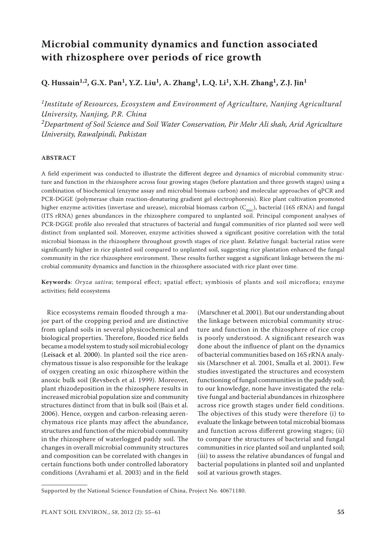# **Microbial community dynamics and function associated with rhizosphere over periods of rice growth**

**Q. Hussain1,2, G.X. Pan1, Y.Z. Liu1, A. Zhang1, L.Q. Li1, X.H. Zhang1, Z.J. Jin1**

*1Institute of Resources, Ecosystem and Environment of Agriculture, Nanjing Agricultural University, Nanjing, P.R. China 2Department of Soil Science and Soil Water Conservation, Pir Mehr Ali shah, Arid Agriculture University, Rawalpindi, Pakistan*

#### **ABSTRACT**

A field experiment was conducted to illustrate the different degree and dynamics of microbial community structure and function in the rhizosphere across four growing stages (before plantation and three growth stages) using a combination of biochemical (enzyme assay and microbial biomass carbon) and molecular approaches of qPCR and PCR-DGGE (polymerase chain reaction-denaturing gradient gel electrophoresis). Rice plant cultivation promoted higher enzyme activities (invertase and urease), microbial biomass carbon ( $C_{\text{mic}}$ ), bacterial (16S rRNA) and fungal (ITS rRNA) genes abundances in the rhizosphere compared to unplanted soil. Principal component analyses of PCR-DGGE profile also revealed that structures of bacterial and fungal communities of rice planted soil were well distinct from unplanted soil. Moreover, enzyme activities showed a significant positive correlation with the total microbial biomass in the rhizosphere throughout growth stages of rice plant. Relative fungal: bacterial ratios were significantly higher in rice planted soil compared to unplanted soil, suggesting rice plantation enhanced the fungal community in the rice rhizosphere environment. These results further suggest a significant linkage between the microbial community dynamics and function in the rhizosphere associated with rice plant over time.

**Keywords**: *Oryza sativa*; temporal effect; spatial effect; symbiosis of plants and soil microflora; enzyme activities; field ecosystems

Rice ecosystems remain flooded through a major part of the cropping period and are distinctive from upland soils in several physicochemical and biological properties. Therefore, flooded rice fields became a model system to study soil microbial ecology (Leisack et al. 2000). In planted soil the rice arenchymatous tissue is also responsible for the leakage of oxygen creating an oxic rhizosphere within the anoxic bulk soil (Revsbech et al. 1999). Moreover, plant rhizodeposition in the rhizosphere results in increased microbial population size and community structures distinct from that in bulk soil (Bais et al. 2006). Hence, oxygen and carbon-releasing aerenchymatous rice plants may affect the abundance, structures and function of the microbial community in the rhizosphere of waterlogged paddy soil. The changes in overall microbial community structures and composition can be correlated with changes in certain functions both under controlled laboratory conditions (Avrahami et al. 2003) and in the field

(Marschner et al. 2001). But our understanding about the linkage between microbial community structure and function in the rhizosphere of rice crop is poorly understood. A significant research was done about the influence of plant on the dynamics of bacterial communities based on 16S rRNA analysis (Marschner et al. 2001, Smalla et al. 2001). Few studies investigated the structures and ecosystem functioning of fungal communities in the paddy soil; to our knowledge, none have investigated the relative fungal and bacterial abundances in rhizosphere across rice growth stages under field conditions. The objectives of this study were therefore (i) to evaluate the linkage between total microbial biomass and function across different growing stages; (ii) to compare the structures of bacterial and fungal communities in rice planted soil and unplanted soil; (iii) to assess the relative abundances of fungal and bacterial populations in planted soil and unplanted soil at various growth stages.

Supported by the National Science Foundation of China, Project No. 40671180.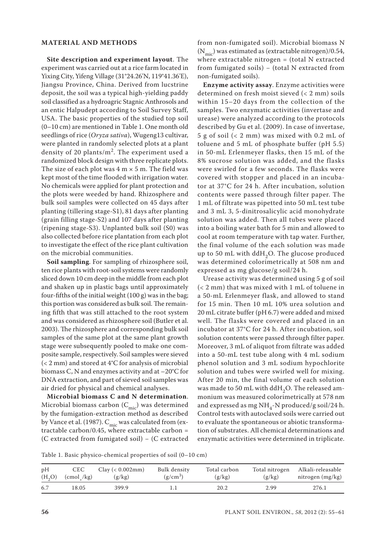## **MATERIAL AND METHODS**

**Site description and experiment layout**. The experiment was carried out at a rice farm located in Yixing City, Yifeng Village (31°24.26'N, 119°41.36'E), Jiangsu Province, China. Derived from lucstrine deposit, the soil was a typical high-yielding paddy soil classified as a hydroagric Stagnic Anthrosols and an entic Halpudept according to Soil Survey Staff, USA. The basic properties of the studied top soil (0–10 cm) are mentioned in Table 1. One month old seedlings of rice (*Oryza sativa*), Wugeng13 cultivar, were planted in randomly selected plots at a plant density of 20 plants/m2. The experiment used a randomized block design with three replicate plots. The size of each plot was  $4 \text{ m} \times 5 \text{ m}$ . The field was kept most of the time flooded with irrigation water. No chemicals were applied for plant protection and the plots were weeded by hand. Rhizosphere and bulk soil samples were collected on 45 days after planting (tillering stage-S1), 81 days after planting (grain filling stage-S2) and 107 days after planting (ripening stage-S3). Unplanted bulk soil (S0) was also collected before rice plantation from each plot to investigate the effect of the rice plant cultivation on the microbial communities.

**Soil sampling**. For sampling of rhizosphere soil, ten rice plants with root-soil systems were randomly sliced down 10 cm deep in the middle from each plot and shaken up in plastic bags until approximately four-fifths of the initial weight (100 g) was in the bag; this portion was considered as bulk soil. The remaining fifth that was still attached to the root system and was considered as rhizosphere soil (Butler et al. 2003). The rhizosphere and corresponding bulk soil samples of the same plot at the same plant growth stage were subsequently pooled to make one composite sample, respectively. Soil samples were sieved (< 2 mm) and stored at 4°C for analysis of microbial biomass C, N and enzymes activity and at –20°C for DNA extraction, and part of sieved soil samples was air dried for physical and chemical analyses.

**Microbial biomass C and N determination**. Microbial biomass carbon  $(C_{\text{mic}})$  was determined by the fumigation-extraction method as described by Vance et al. (1987).  $C_{\text{mic}}$  was calculated from (extractable carbon/0.45, where extractable carbon = (C extracted from fumigated soil) − (C extracted from non-fumigated soil). Microbial biomass N  $(N<sub>mic</sub>)$  was estimated as (extractable nitrogen)/0.54, where extractable nitrogen = (total N extracted from fumigated soils) – (total N extracted from non-fumigated soils).

**Enzyme activity assay**. Enzyme activities were determined on fresh moist sieved (< 2 mm) soils within 15–20 days from the collection of the samples. Two enzymatic activities (invertase and urease) were analyzed according to the protocols described by Gu et al. (2009). In case of invertase, 5 g of soil (< 2 mm) was mixed with 0.2 mL of toluene and 5 mL of phosphate buffer (pH 5.5) in 50-mL Erlenmeyer flasks, then 15 mL of the 8% sucrose solution was added, and the flasks were swirled for a few seconds. The flasks were covered with stopper and placed in an incubator at 37°C for 24 h. After incubation, solution contents were passed through filter paper. The 1 mL of filtrate was pipetted into 50 mL test tube and 3 mL 3, 5-dinitrosalicylic acid monohydrate solution was added. Then all tubes were placed into a boiling water bath for 5 min and allowed to cool at room temperature with tap water. Further, the final volume of the each solution was made up to 50 mL with ddH<sub>2</sub>O. The glucose produced was determined colorimetrically at 508 nm and expressed as mg glucose/g soil/24 h.

Urease activity was determined using 5 g of soil (< 2 mm) that was mixed with 1 mL of toluene in a 50-mL Erlenmeyer flask, and allowed to stand for 15 min. Then 10 mL 10% urea solution and 20 mL citrate buffer (pH 6.7) were added and mixed well. The flasks were covered and placed in an incubator at 37°C for 24 h. After incubation, soil solution contents were passed through filter paper. Moreover, 3 mL of aliquot from filtrate was added into a 50-mL test tube along with 4 mL sodium phenol solution and 3 mL sodium hypochlorite solution and tubes were swirled well for mixing. After 20 min, the final volume of each solution was made to 50 mL with ddH<sub>2</sub>O. The released ammonium was measured colorimetrically at 578 nm and expressed as mg NH<sub>4</sub>-N produced/g soil/24 h. Control tests with autoclaved soils were carried out to evaluate the spontaneous or abiotic transformation of substrates. All chemical determinations and enzymatic activities were determined in triplicate.

Table 1. Basic physico-chemical properties of soil (0–10 cm)

| pH     | <b>CEC</b>  | $Clav$ (< 0.002mm) | Bulk density | Total carbon | Total nitrogen | Alkali-releasable  |
|--------|-------------|--------------------|--------------|--------------|----------------|--------------------|
| (H, O) | $\pmod{kg}$ | (g/kg)             | $(g/cm^3)$   | (g/kg)       | (g/kg)         | nitrogen $(mg/kg)$ |
| 6.7    | 18.05       | 399.9              |              | 20.2         | 2.99           | 276.1              |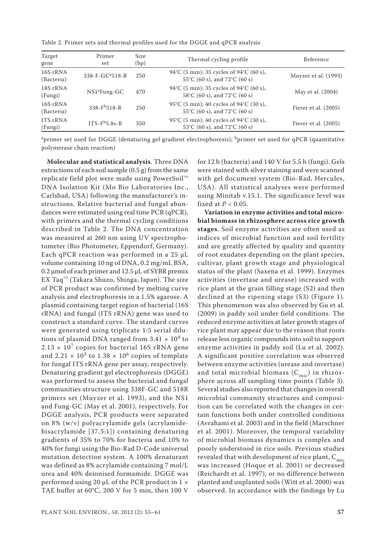Table 2. Primer sets and thermal profiles used for the DGGE and qPCR analysis

| Target<br>gene             | Primer<br>set               | Size<br>(bp) | Thermal cycling profile                                                   | Reference              |
|----------------------------|-----------------------------|--------------|---------------------------------------------------------------------------|------------------------|
| 16S rRNA<br>(Bacteria)     | 338-F-GC <sup>a</sup> 518-R | 250          | 94°C (5 min); 35 cycles of 94°C (60 s),<br>55°C (60 s), and 72°C (60 s)   | Muyzer et al. (1993)   |
| 18S rRNA<br>(Fungi)        | $NS1^a$ Fung-GC             | 470          | 94°C (5 min); 35 cycles of 94°C (60 s),<br>58°C (60 s), and 72°C (60 s)   | May et al. (2004)      |
| 16S rRNA<br>(Bacteria)     | $338-Fb518-R$               | 250          | 95°C (5 min); 40 cycles of 94°C (30 s),<br>55°C (60 s), and 72°C (60 s)   | Fierer et al. $(2005)$ |
| <b>ITS</b> rRNA<br>(Fungi) | $ITS-Fb5.8s-R$              | 350          | 95°C (5 min); 40 cycles of 94°C (30 s),<br>53 °C (60 s), and 72 °C (60 s) | Fierer et al. $(2005)$ |

<sup>a</sup>primer set used for DGGE (denaturing gel gradient electrophoresis); <sup>b</sup>primer set used for qPCR (quantitative polymerase chain reaction)

**Molecular and statistical analysis**. Three DNA extractions of each soil sample (0.5 g) from the same replicate field plot were made using PowerSoil<sup>™</sup> DNA Isolation Kit (Mo Bio Laboratories Inc., Carlsbad, USA) following the manufacturer's instructions. Relative bacterial and fungal abundances were estimated using real time PCR (qPCR), with primers and the thermal cycling conditions described in Table 2. The DNA concentration was measured at 260 nm using UV spectrophotometer (Bio Photometer, Eppendorf, Germany). Each qPCR reaction was performed in a 25 µL volume containing 10 ng of DNA, 0.2 mg/mL BSA, 0.2 µmol of each primer and 12.5 µL of SYBR premix EX Taq $T^M$  (Takara Shuzo, Shinga, Japan). The size of PCR product was confirmed by melting curve analysis and electrophoresis in a 1.5% agarose. A plasmid containing target region of bacterial (16S rRNA) and fungal (ITS rRNA) gene was used to construct a standard curve. The standard curves were generated using triplicate 1:5 serial dilutions of plasmid DNA ranged from  $3.41 \times 10^4$  to  $2.13 \times 10^7$  copies for bacterial 16S rRNA gene and 2.21  $\times$  10<sup>3</sup> to 1.38  $\times$  10<sup>6</sup> copies of template for fungal ITS rRNA gene per assay, respectively. Denaturing gradient gel electrophoresis (DGGE) was performed to assess the bacterial and fungal communities structure using 338F-GC and 518R primers set (Muyzer et al. 1993), and the NS1 and Fung-GC (May et al. 2001), respectively. For DGGE analysis, PCR products were separated on 8% (w/v) polyacrylamide gels (acrylamidebisacrylamide [37.5:1]) containing denaturing gradients of 35% to 70% for bacteria and 10% to 40% for fungi using the Bio-Rad D-Code universal mutation detection system. A 100% denaturant was defined as 8% acrylamide containing 7 mol/L urea and 40% deionised formamide. DGGE was performed using 20  $\mu$ L of the PCR product in  $1 \times$ TAE buffer at 60°C, 200 V for 5 min, then 100 V for 12 h (bacteria) and 140 V for 5.5 h (fungi). Gels were stained with silver staining and were scanned with gel document system (Bio-Rad, Hercules, USA). All statistical analyses were performed using Minitab v.15.1. The significance level was fixed at *P* < 0.05.

**Variation in enzyme activities and total microbial biomass in rhizosphere across rice growth stages**. Soil enzyme activities are often used as indices of microbial function and soil fertility and are greatly affected by quality and quantity of root exudates depending on the plant species, cultivar, plant growth stage and physiological status of the plant (Saxena et al. 1999). Enzymes activities (invertase and urease) increased with rice plant at the grain filling stage (S2) and then declined at the ripening stage (S3) (Figure 1). This phenomenon was also observed by Gu et al. (2009) in paddy soil under field conditions. The reduced enzyme activities at later growth stages of rice plant may appear due to the reason that roots release less organic compounds into soil to support enzyme activities in paddy soil (Lu et al. 2002). A significant positive correlation was observed between enzyme activities (urease and invertase) and total microbial biomass  $(C<sub>mic</sub>)$  in rhizosphere across all sampling time points (Table 3). Several studies also reported that changes in overall microbial community structures and composition can be correlated with the changes in certain functions both under controlled conditions (Avrahami et al. 2003) and in the field (Marschner et al. 2001). Moreover, the temporal variability of microbial biomass dynamics is complex and poorly understood in rice soils. Previous studies revealed that with development of rice plant,  $C_{\text{mic}}$ was increased (Hoque et al. 2001) or decreased (Reichardt et al. 1997), or no difference between planted and unplanted soils (Witt et al. 2000) was observed. In accordance with the findings by Lu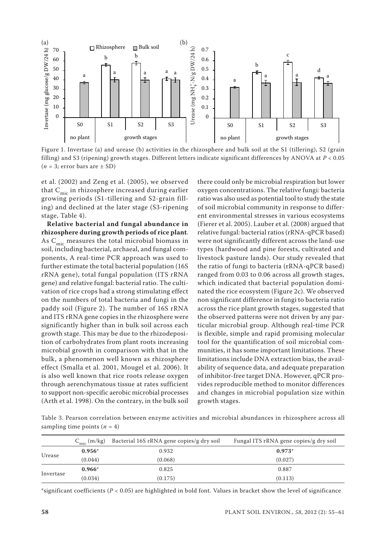

Figure 1. Invertase (a) and urease (b) activities in the rhizosphere and bulk soil at the S1 (tillering), S2 (grain filling) and S3 (ripening) growth stages. Different letters indicate significant differences by ANOVA at *P* < 0.05  $(n = 3;$  error bars are  $\pm$  SD)

et al. (2002) and Zeng et al. (2005), we observed that  $C_{\text{mic}}$  in rhizosphere increased during earlier growing periods (S1-tillering and S2-grain filling) and declined at the later stage (S3-ripening stage, Table 4).

**Relative bacterial and fungal abundance in rhizosphere during growth periods of rice plant**. As  $C<sub>mic</sub>$  measures the total microbial biomass in soil, including bacterial, archaeal, and fungal components, A real-time PCR approach was used to further estimate the total bacterial population (16S rRNA gene), total fungal population (ITS rRNA gene) and relative fungal: bacterial ratio. The cultivation of rice crops had a strong stimulating effect on the numbers of total bacteria and fungi in the paddy soil (Figure 2). The number of 16S rRNA and ITS rRNA gene copies in the rhizosphere were significantly higher than in bulk soil across each growth stage. This may be due to the rhizodeposition of carbohydrates from plant roots increasing microbial growth in comparison with that in the bulk, a phenomenon well known as rhizosphere effect (Smalla et al. 2001, Mougel et al. 2006). It is also well known that rice roots release oxygen through aerenchymatous tissue at rates sufficient to support non-specific aerobic microbial processes (Arth et al. 1998). On the contrary, in the bulk soil

there could only be microbial respiration but lower oxygen concentrations. The relative fungi: bacteria ratio was also used as potential tool to study the state of soil microbial community in response to different environmental stresses in various ecosystems (Fierer et al. 2005). Lauber et al. (2008) argued that relative fungal: bacterial ratios (rRNA-qPCR based) were not significantly different across the land-use types (hardwood and pine forests, cultivated and livestock pasture lands). Our study revealed that the ratio of fungi to bacteria (rRNA-qPCR based) ranged from 0.03 to 0.06 across all growth stages, which indicated that bacterial population dominated the rice ecosystem (Figure 2c). We observed non significant difference in fungi to bacteria ratio across the rice plant growth stages, suggested that the observed patterns were not driven by any particular microbial group. Although real-time PCR is flexible, simple and rapid promising molecular tool for the quantification of soil microbial communities, it has some important limitations. These limitations include DNA extraction bias, the availability of sequence data, and adequate preparation of inhibitor-free target DNA. However, qPCR provides reproducible method to monitor differences and changes in microbial population size within growth stages.

Table 3. Pearson correlation between enzyme activities and microbial abundances in rhizosphere across all sampling time points  $(n = 4)$ 

|           | $C_{\text{mic}}$ (m/kg) | Bacterial 16S rRNA gene copies/g dry soil | Fungal ITS rRNA gene copies/g dry soil |
|-----------|-------------------------|-------------------------------------------|----------------------------------------|
| Urease    | $0.956*$                | 0.932                                     | $0.973*$                               |
|           | (0.044)                 | (0.068)                                   | (0.027)                                |
| Invertase | $0.966*$                | 0.825                                     | 0.887                                  |
|           | (0.034)                 | (0.175)                                   | (0.113)                                |

\*significant coefficients ( $P < 0.05$ ) are highlighted in bold font. Values in bracket show the level of significance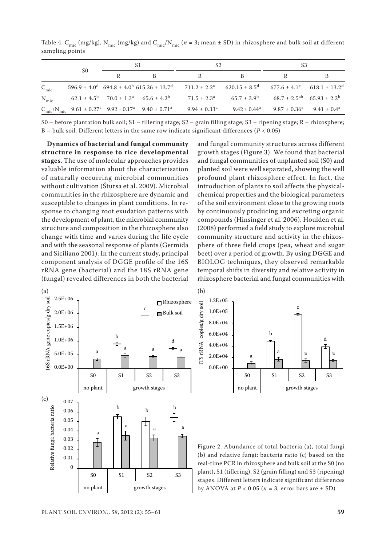|                  | S <sub>0</sub> | S1                                                                   |                                                                                                            | S2                                                                                                                                |                   | S3                                                                    |  |
|------------------|----------------|----------------------------------------------------------------------|------------------------------------------------------------------------------------------------------------|-----------------------------------------------------------------------------------------------------------------------------------|-------------------|-----------------------------------------------------------------------|--|
|                  |                |                                                                      |                                                                                                            |                                                                                                                                   |                   |                                                                       |  |
| $C_{\text{mic}}$ |                |                                                                      |                                                                                                            | $596.9 \pm 4.0^d$ $694.8 \pm 4.0^b$ $615.26 \pm 13.7^d$ $711.2 \pm 2.2^a$ $620.15 \pm 8.5^d$ $677.6 \pm 4.1^c$ $618.1 \pm 13.2^d$ |                   |                                                                       |  |
| $N_{mic}$        |                | $62.1 \pm 4.5^{\circ}$ $70.0 \pm 1.3^{\circ}$ $65.6 \pm 4.2^{\circ}$ |                                                                                                            | $71.5 \pm 2.3^{\circ}$                                                                                                            |                   | $65.7 \pm 3.9^{\circ}$ $68.7 \pm 2.5^{\circ}$ $65.93 \pm 2.2^{\circ}$ |  |
|                  |                |                                                                      | $C_{\text{mic}}/N_{\text{mic}}$ 9.61 ± 0.27 <sup>a</sup> 9.92 ± 0.17 <sup>a</sup> 9.40 ± 0.71 <sup>a</sup> | $9.94 \pm 0.33^{\text{a}}$                                                                                                        | $9.42 \pm 0.44^a$ | $9.87 \pm 0.36^a$ $9.41 \pm 0.4^a$                                    |  |

Table 4. C<sub>mic</sub> (mg/kg), N<sub>mic</sub> (mg/kg) and C<sub>mic</sub>/N<sub>mic</sub> ( $n = 3$ ; mean  $\pm$  SD) in rhizosphere and bulk soil at different sampling points

S0 – before plantation bulk soil; S1 – tillering stage; S2 – grain filling stage; S3 – ripening stage; R – rhizosphere; B – bulk soil. Different letters in the same row indicate significant differences (*P* < 0.05)

**Dynamics of bacterial and fungal community structure in response to rice developmental stages**. The use of molecular approaches provides valuable information about the characterisation of naturally occurring microbial communities without cultivation (Štursa et al. 2009). Microbial communities in the rhizosphere are dynamic and susceptible to changes in plant conditions. In response to changing root exudation patterns with the development of plant, the microbial community structure and composition in the rhizosphere also change with time and varies during the life cycle and with the seasonal response of plants (Germida and Siciliano 2001). In the current study, principal component analysis of DGGE profile of the 16S rRNA gene (bacterial) and the 18S rRNA gene (fungal) revealed differences in both the bacterial

and fungal community structures across different growth stages (Figure 3). We found that bacterial and fungal communities of unplanted soil (S0) and planted soil were well separated, showing the well profound plant rhizosphere effect. In fact, the introduction of plants to soil affects the physicalchemical properties and the biological parameters of the soil environment close to the growing roots by continuously producing and excreting organic compounds (Hinsinger et al. 2006). Houlden et al. (2008) performed a field study to explore microbial community structure and activity in the rhizosphere of three field crops (pea, wheat and sugar beet) over a period of growth. By using DGGE and BIOLOG techniques, they observed remarkable temporal shifts in diversity and relative activity in rhizosphere bacterial and fungal communities with



d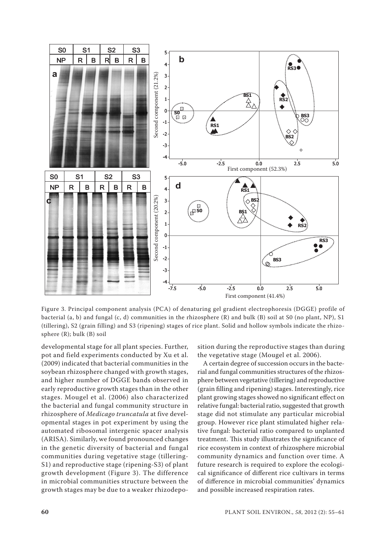

Figure 3. Principal component analysis (PCA) of denaturing gel gradient electrophoresis (DGGE) profile of bacterial (a, b) and fungal (c, d) communities in the rhizosphere (R) and bulk (B) soil at S0 (no plant, NP), S1 (tillering), S2 (grain filling) and S3 (ripening) stages of rice plant. Solid and hollow symbols indicate the rhizo-

developmental stage for all plant species. Further, pot and field experiments conducted by Xu et al. (2009) indicated that bacterial communities in the soybean rhizosphere changed with growth stages, and higher number of DGGE bands observed in early reproductive growth stages than in the other stages. Mougel et al. (2006) also characterized the bacterial and fungal community structure in rhizosphere of *Medicago truncatula* at five developmental stages in pot experiment by using the automated ribosomal intergenic spacer analysis (ARISA). Similarly, we found pronounced changes in the genetic diversity of bacterial and fungal communities during vegetative stage (tillering-S1) and reproductive stage (ripening-S3) of plant growth development (Figure 3). The difference in microbial communities structure between the growth stages may be due to a weaker rhizodeposition during the reproductive stages than during the vegetative stage (Mougel et al. 2006).

A certain degree of succession occurs in the bacterial and fungal communities structures of the rhizosphere between vegetative (tillering) and reproductive (grain filling and ripening) stages. Interestingly, rice plant growing stages showed no significant effect on relative fungal: bacterial ratio, suggested that growth stage did not stimulate any particular microbial group. However rice plant stimulated higher relative fungal: bacterial ratio compared to unplanted treatment. This study illustrates the significance of rice ecosystem in context of rhizosphere microbial community dynamics and function over time. A future research is required to explore the ecological significance of different rice cultivars in terms of difference in microbial communities' dynamics and possible increased respiration rates.